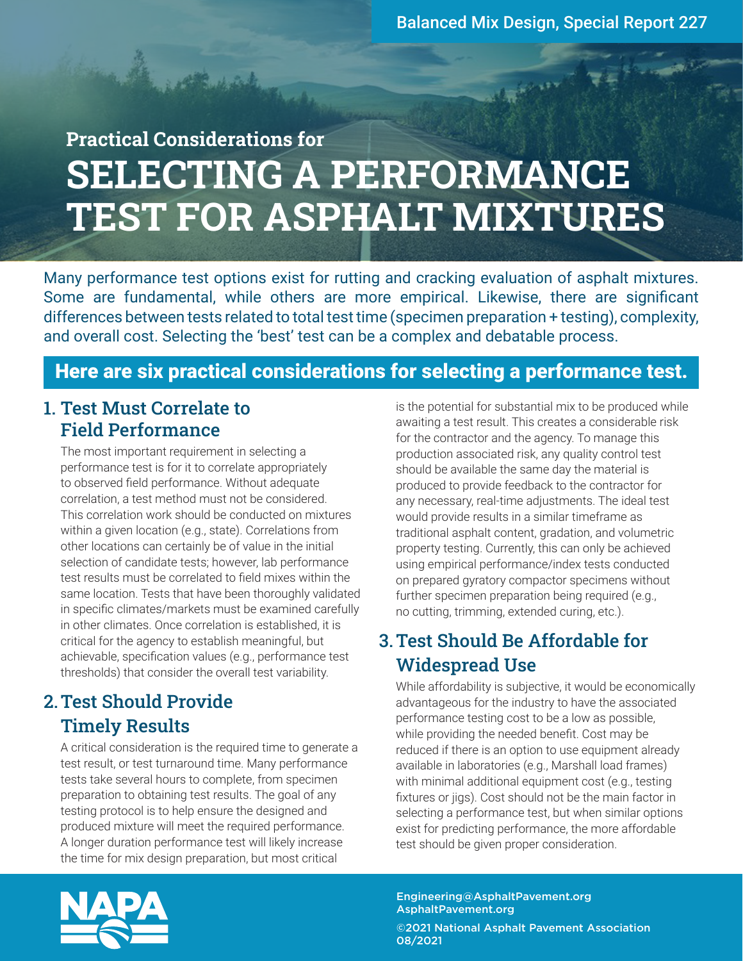**MARKET AT A** 

# Practical Considerations for SELECTING A PERFORMANCE TEST FOR ASPHALT MIXTURES

Many performance test options exist for rutting and cracking evaluation of asphalt mixtures. Some are fundamental, while others are more empirical. Likewise, there are significant differences between tests related to total test time (specimen preparation + testing), complexity, and overall cost. Selecting the 'best' test can be a complex and debatable process.

#### Here are six practical considerations for selecting a performance test.

#### 1. Test Must Correlate to Field Performance

The most important requirement in selecting a performance test is for it to correlate appropriately to observed field performance. Without adequate correlation, a test method must not be considered. This correlation work should be conducted on mixtures within a given location (e.g., state). Correlations from other locations can certainly be of value in the initial selection of candidate tests; however, lab performance test results must be correlated to field mixes within the same location. Tests that have been thoroughly validated in specific climates/markets must be examined carefully in other climates. Once correlation is established, it is critical for the agency to establish meaningful, but achievable, specification values (e.g., performance test thresholds) that consider the overall test variability.

a political and

#### 2.Test Should Provide Timely Results

A critical consideration is the required time to generate a test result, or test turnaround time. Many performance tests take several hours to complete, from specimen preparation to obtaining test results. The goal of any testing protocol is to help ensure the designed and produced mixture will meet the required performance. A longer duration performance test will likely increase the time for mix design preparation, but most critical

is the potential for substantial mix to be produced while awaiting a test result. This creates a considerable risk for the contractor and the agency. To manage this production associated risk, any quality control test should be available the same day the material is produced to provide feedback to the contractor for any necessary, real-time adjustments. The ideal test would provide results in a similar timeframe as traditional asphalt content, gradation, and volumetric property testing. Currently, this can only be achieved using empirical performance/index tests conducted on prepared gyratory compactor specimens without further specimen preparation being required (e.g., no cutting, trimming, extended curing, etc.).

#### 3.Test Should Be Affordable for Widespread Use

 While affordability is subjective, it would be economically advantageous for the industry to have the associated performance testing cost to be a low as possible, while providing the needed benefit. Cost may be reduced if there is an option to use equipment already available in laboratories (e.g., Marshall load frames) with minimal additional equipment cost (e.g., testing fixtures or jigs). Cost should not be the main factor in selecting a performance test, but when similar options exist for predicting performance, the more affordable test should be given proper consideration.



Engineering@AsphaltPavement.org AsphaltPavement.org

©2021 National Asphalt Pavement Association 08/2021